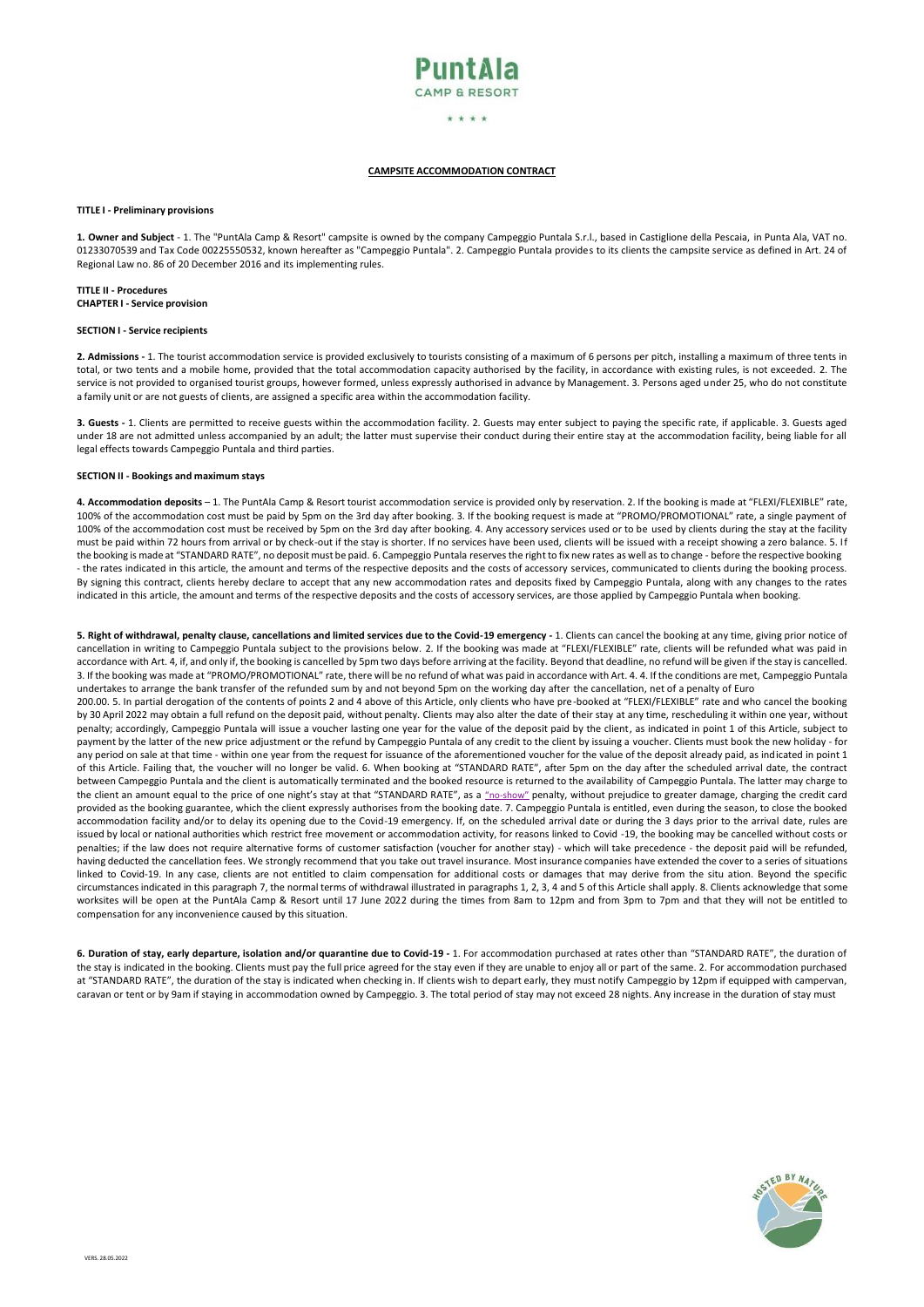

### \* \* \* \*

### **CAMPSITE ACCOMMODATION CONTRACT**

### **TITLE I - Preliminary provisions**

**1. Owner and Subject** - 1. The "PuntAla Camp & Resort" campsite is owned by the company Campeggio Puntala S.r.l., based in Castiglione della Pescaia, in Punta Ala, VAT no. 01233070539 and Tax Code 00225550532, known hereafter as "Campeggio Puntala". 2. Campeggio Puntala provides to its clients the campsite service as defined in Art. 24 of Regional Law no. 86 of 20 December 2016 and its implementing rules.

**TITLE II - Procedures CHAPTER I - Service provision**

### **SECTION I - Service recipients**

**2. Admissions -** 1. The tourist accommodation service is provided exclusively to tourists consisting of a maximum of 6 persons per pitch, installing a maximum of three tents in total, or two tents and a mobile home, provided that the total accommodation capacity authorised by the facility, in accordance with existing rules, is not exceeded. 2. The service is not provided to organised tourist groups, however formed, unless expressly authorised in advance by Management. 3. Persons aged under 25, who do not constitute a family unit or are not guests of clients, are assigned a specific area within the accommodation facility.

**3. Guests -** 1. Clients are permitted to receive guests within the accommodation facility. 2. Guests may enter subject to paying the specific rate, if applicable. 3. Guests aged under 18 are not admitted unless accompanied by an adult; the latter must supervise their conduct during their entire stay at the accommodation facility, being liable for all legal effects towards Campeggio Puntala and third parties.

### **SECTION II - Bookings and maximum stays**

**4. Accommodation deposits** – 1. The PuntAla Camp & Resort tourist accommodation service is provided only by reservation. 2. If the booking is made at "FLEXI/FLEXIBLE" rate, 100% of the accommodation cost must be paid by 5pm on the 3rd day after booking. 3. If the booking request is made at "PROMO/PROMOTIONAL" rate, a single payment of 100% of the accommodation cost must be received by 5pm on the 3rd day after booking. 4. Any accessory services used or to be used by clients during the stay at the facility must be paid within 72 hours from arrival or by check-out if the stay is shorter. If no services have been used, clients will be issued with a receipt showing a zero balance. 5. If the booking is made at "STANDARD RATE", no deposit must be paid. 6. Campeggio Puntala reserves the right to fix new rates as well as to change - before the respective booking - the rates indicated in this article, the amount and terms of the respective deposits and the costs of accessory services, communicated to clients during the booking process. By signing this contract, clients hereby declare to accept that any new accommodation rates and deposits fixed by Campeggio Puntala, along with any changes to the rates indicated in this article, the amount and terms of the respective deposits and the costs of accessory services, are those applied by Campeggio Puntala when booking.

**5. Right of withdrawal, penalty clause, cancellations and limited services due to the Covid-19 emergency -** 1. Clients can cancel the booking at any time, giving prior notice of cancellation in writing to Campeggio Puntala subject to the provisions below. 2. If the booking was made at "FLEXI/FLEXIBLE" rate, clients will be refunded what was paid in accordance with Art. 4, if, and only if, the booking is cancelled by 5pm two days before arriving at the facility. Beyond that deadline, no refund will be given if the stay is cancelled. 3. If the booking was made at "PROMO/PROMOTIONAL" rate, there will be no refund of what was paid in accordance with Art. 4. 4. If the conditions are met, Campeggio Puntala undertakes to arrange the bank transfer of the refunded sum by and not beyond 5pm on the working day after the cancellation, net of a penalty of Euro 200.00. 5. In partial derogation of the contents of points 2 and 4 above of this Article, only clients who have pre-booked at "FLEXI/FLEXIBLE" rate and who cancel the booking by 30 April 2022 may obtain a full refund on the deposit paid, without penalty. Clients may also alter the date of their stay at any time, rescheduling it within one year, without penalty; accordingly, Campeggio Puntala will issue a voucher lasting one year for the value of the deposit paid by the client, as indicated in point 1 of this Article, subject to payment by the latter of the new price adjustment or the refund by Campeggio Puntala of any credit to the client by issuing a voucher. Clients must book the new holiday - for any period on sale at that time - within one year from the request for issuance of the aforementioned voucher for the value of the deposit already paid, as indicated in point 1 of this Article. Failing that, the voucher will no longer be valid. 6. When booking at "STANDARD RATE", after 5pm on the day after the scheduled arrival date, the contract between Campeggio Puntala and the client is automatically terminated and the booked resource is returned to the availability of Campeggio Puntala. The latter may charge to the client an amount equal to the price of one night's stay at that "STANDARD RATE", as a "no-show" penalty, without prejudice to greater damage, charging the credit card provided as the booking guarantee, which the client expressly authorises from the booking date. 7. Campeggio Puntala is entitled, even during the season, to close the booked accommodation facility and/or to delay its opening due to the Covid-19 emergency. If, on the scheduled arrival date or during the 3 days prior to the arrival date, rules are issued by local or national authorities which restrict free movement or accommodation activity, for reasons linked to Covid -19, the booking may be cancelled without costs or penalties; if the law does not require alternative forms of customer satisfaction (voucher for another stay) - which will take precedence - the deposit paid will be refunded, having deducted the cancellation fees. We strongly recommend that you take out travel insurance. Most insurance companies have extended the cover to a series of situations linked to Covid-19. In any case, clients are not entitled to claim compensation for additional costs or damages that may derive from the situ ation. Beyond the specific circumstances indicated in this paragraph 7, the normal terms of withdrawal illustrated in paragraphs 1, 2, 3, 4 and 5 of this Article shall apply. 8. Clients acknowledge that some worksites will be open at the PuntAla Camp & Resort until 17 June 2022 during the times from 8am to 12pm and from 3pm to 7pm and that they will not be entitled to compensation for any inconvenience caused by this situation.

6. Duration of stay, early departure, isolation and/or quarantine due to Covid-19 - 1. For accommodation purchased at rates other than "STANDARD RATE", the duration of the stay is indicated in the booking. Clients must pay the full price agreed for the stay even if they are unable to enjoy all or part of the same. 2. For accommodation purchased at "STANDARD RATE", the duration of the stay is indicated when checking in. If clients wish to depart early, they must notify Campeggio by 12pm if equipped with campervan, caravan or tent or by 9am if staying in accommodation owned by Campeggio. 3. The total period of stay may not exceed 28 nights. Any increase in the duration of stay must

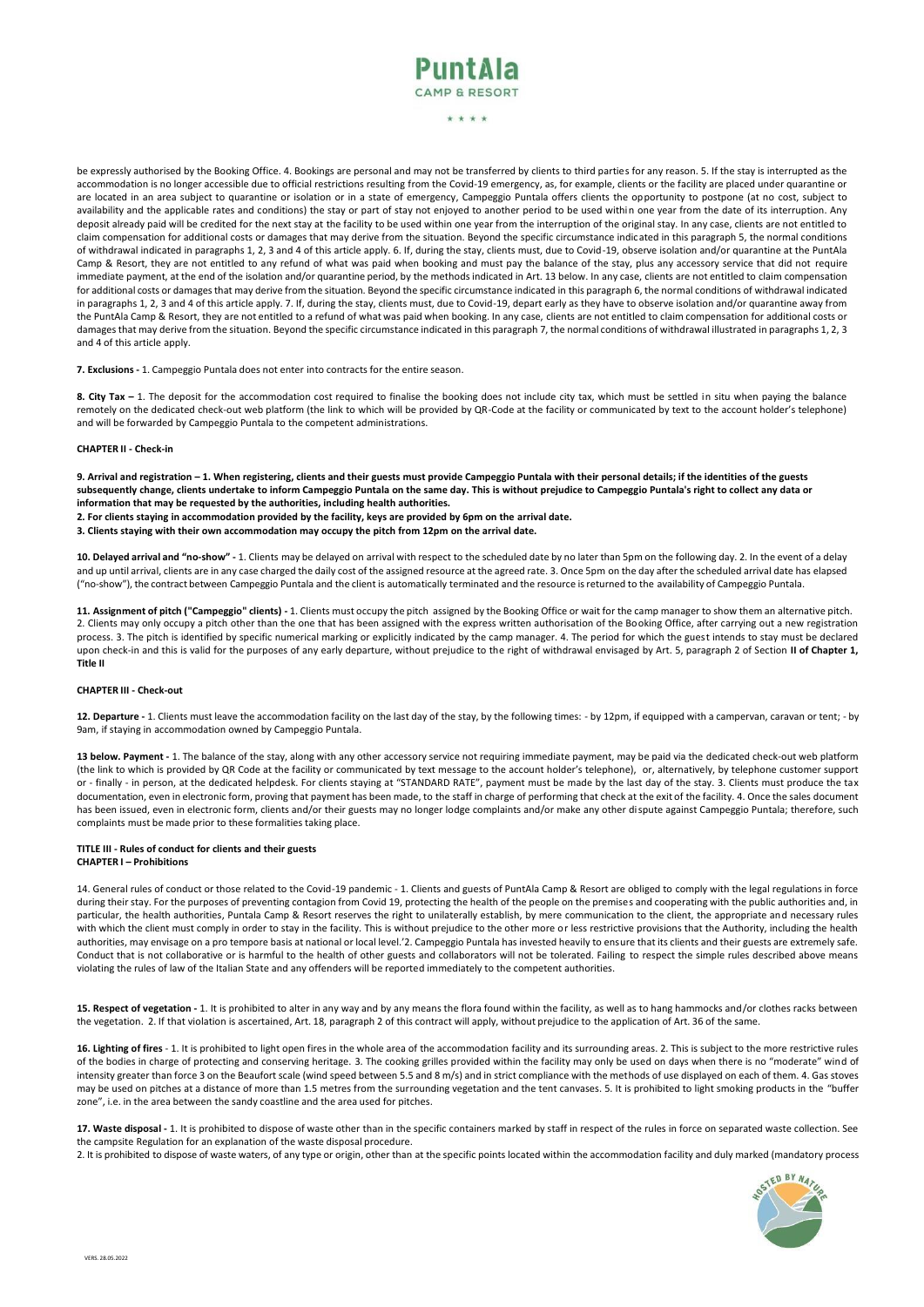

### \* \* \* \*

be expressly authorised by the Booking Office. 4. Bookings are personal and may not be transferred by clients to third parties for any reason. 5. If the stay is interrupted as the accommodation is no longer accessible due to official restrictions resulting from the Covid-19 emergency, as, for example, clients or the facility are placed under quarantine or are located in an area subject to quarantine or isolation or in a state of emergency, Campeggio Puntala offers clients the opportunity to postpone (at no cost, subject to availability and the applicable rates and conditions) the stay or part of stay not enjoyed to another period to be used within one year from the date of its interruption. Any deposit already paid will be credited for the next stay at the facility to be used within one year from the interruption of the original stay. In any case, clients are not entitled to claim compensation for additional costs or damages that may derive from the situation. Beyond the specific circumstance indicated in this paragraph 5, the normal conditions of withdrawal indicated in paragraphs 1, 2, 3 and 4 of this article apply. 6. If, during the stay, clients must, due to Covid-19, observe isolation and/or quarantine at the PuntAla Camp & Resort, they are not entitled to any refund of what was paid when booking and must pay the balance of the stay, plus any accessory service that did not require immediate payment, at the end of the isolation and/or quarantine period, by the methods indicated in Art. 13 below. In any case, clients are not entitled to claim compensation for additional costs or damages that may derive from the situation. Beyond the specific circumstance indicated in this paragraph 6, the normal conditions of withdrawal indicated in paragraphs 1, 2, 3 and 4 of this article apply. 7. If, during the stay, clients must, due to Covid-19, depart early as they have to observe isolation and/or quarantine away from the PuntAla Camp & Resort, they are not entitled to a refund of what was paid when booking. In any case, clients are not entitled to claim compensation for additional costs or damages that may derive from the situation. Beyond the specific circumstance indicated in this paragraph 7, the normal conditions of withdrawal illustrated in paragraphs 1, 2, 3 and 4 of this article apply.

**7. Exclusions -** 1. Campeggio Puntala does not enter into contracts for the entire season.

8. City Tax - 1. The deposit for the accommodation cost required to finalise the booking does not include city tax, which must be settled in situ when paying the balance remotely on the dedicated check-out web platform (the link to which will be provided by QR-Code at the facility or communicated by text to the account holder's telephone) and will be forwarded by Campeggio Puntala to the competent administrations.

### **CHAPTER II - Check-in**

**9. Arrival and registration – 1. When registering, clients and their guests must provide Campeggio Puntala with their personal details; if the identities of the guests subsequently change, clients undertake to inform Campeggio Puntala on the same day. This is without prejudice to Campeggio Puntala's right to collect any data or information that may be requested by the authorities, including health authorities.**

**2. For clients staying in accommodation provided by the facility, keys are provided by 6pm on the arrival date.** 

**3. Clients staying with their own accommodation may occupy the pitch from 12pm on the arrival date.**

10. Delayed arrival and "no-show" - 1. Clients may be delayed on arrival with respect to the scheduled date by no later than 5pm on the following day. 2. In the event of a delay and up until arrival, clients are in any case charged the daily cost of the assigned resource at the agreed rate. 3. Once 5pm on the day after the scheduled arrival date has elapsed ("no-show"), the contract between Campeggio Puntala and the client is automatically terminated and the resource isreturned to the availability of Campeggio Puntala.

**11. Assignment of pitch ("Campeggio" clients) -** 1. Clients must occupy the pitch assigned by the Booking Office or wait for the camp manager to show them an alternative pitch. 2. Clients may only occupy a pitch other than the one that has been assigned with the express written authorisation of the Booking Office, after carrying out a new registration process. 3. The pitch is identified by specific numerical marking or explicitly indicated by the camp manager. 4. The period for which the guest intends to stay must be declared upon check-in and this is valid for the purposes of any early departure, without prejudice to the right of withdrawal envisaged by Art. 5, paragraph 2 of Section **II of Chapter 1, Title II**

### **CHAPTER III - Check-out**

**12. Departure -** 1. Clients must leave the accommodation facility on the last day of the stay, by the following times: - by 12pm, if equipped with a campervan, caravan or tent; - by 9am, if staying in accommodation owned by Campeggio Puntala.

**13 below. Payment -** 1. The balance of the stay, along with any other accessory service not requiring immediate payment, may be paid via the dedicated check-out web platform (the link to which is provided by QR Code at the facility or communicated by text message to the account holder's telephone), or, alternatively, by telephone customer support or - finally - in person, at the dedicated helpdesk. For clients staying at "STANDARD RATE", payment must be made by the last day of the stay. 3. Clients must produce the tax documentation, even in electronic form, proving that payment has been made, to the staff in charge of performing that check at the exit of the facility. 4. Once the sales document has been issued, even in electronic form, clients and/or their guests may no longer lodge complaints and/or make any other dispute against Campeggio Puntala; therefore, such complaints must be made prior to these formalities taking place.

### **TITLE III - Rules of conduct for clients and their guests CHAPTER I – Prohibitions**

14. General rules of conduct or those related to the Covid-19 pandemic - 1. Clients and guests of PuntAla Camp & Resort are obliged to comply with the legal regulations in force during their stay. For the purposes of preventing contagion from Covid 19, protecting the health of the people on the premises and cooperating with the public authorities and, in particular, the health authorities, Puntala Camp & Resort reserves the right to unilaterally establish, by mere communication to the client, the appropriate and necessary rules with which the client must comply in order to stay in the facility. This is without prejudice to the other more or less restrictive provisions that the Authority, including the health authorities, may envisage on a pro tempore basis at national or local level.'2. Campeggio Puntala has invested heavily to ensure that its clients and their guests are extremely safe. Conduct that is not collaborative or is harmful to the health of other guests and collaborators will not be tolerated. Failing to respect the simple rules described above means violating the rules of law of the Italian State and any offenders will be reported immediately to the competent authorities.

**15. Respect of vegetation -** 1. It is prohibited to alter in any way and by any means the flora found within the facility, as well as to hang hammocks and/or clothes racks between the vegetation. 2. If that violation is ascertained, Art. 18, paragraph 2 of this contract will apply, without prejudice to the application of Art. 36 of the same.

**16. Lighting of fires** - 1. It is prohibited to light open fires in the whole area of the accommodation facility and its surrounding areas. 2. This is subject to the more restrictive rules of the bodies in charge of protecting and conserving heritage. 3. The cooking grilles provided within the facility may only be used on days when there is no "moderate" wind of intensity greater than force 3 on the Beaufort scale (wind speed between 5.5 and 8 m/s) and in strict compliance with the methods of use displayed on each of them. 4. Gas stoves may be used on pitches at a distance of more than 1.5 metres from the surrounding vegetation and the tent canvases. 5. It is prohibited to light smoking products in the "buffer zone", i.e. in the area between the sandy coastline and the area used for pitches.

**17. Waste disposal -** 1. It is prohibited to dispose of waste other than in the specific containers marked by staff in respect of the rules in force on separated waste collection. See the campsite Regulation for an explanation of the waste disposal procedure.

2. It is prohibited to dispose of waste waters, of any type or origin, other than at the specific points located within the accommodation facility and duly marked (mandatory process

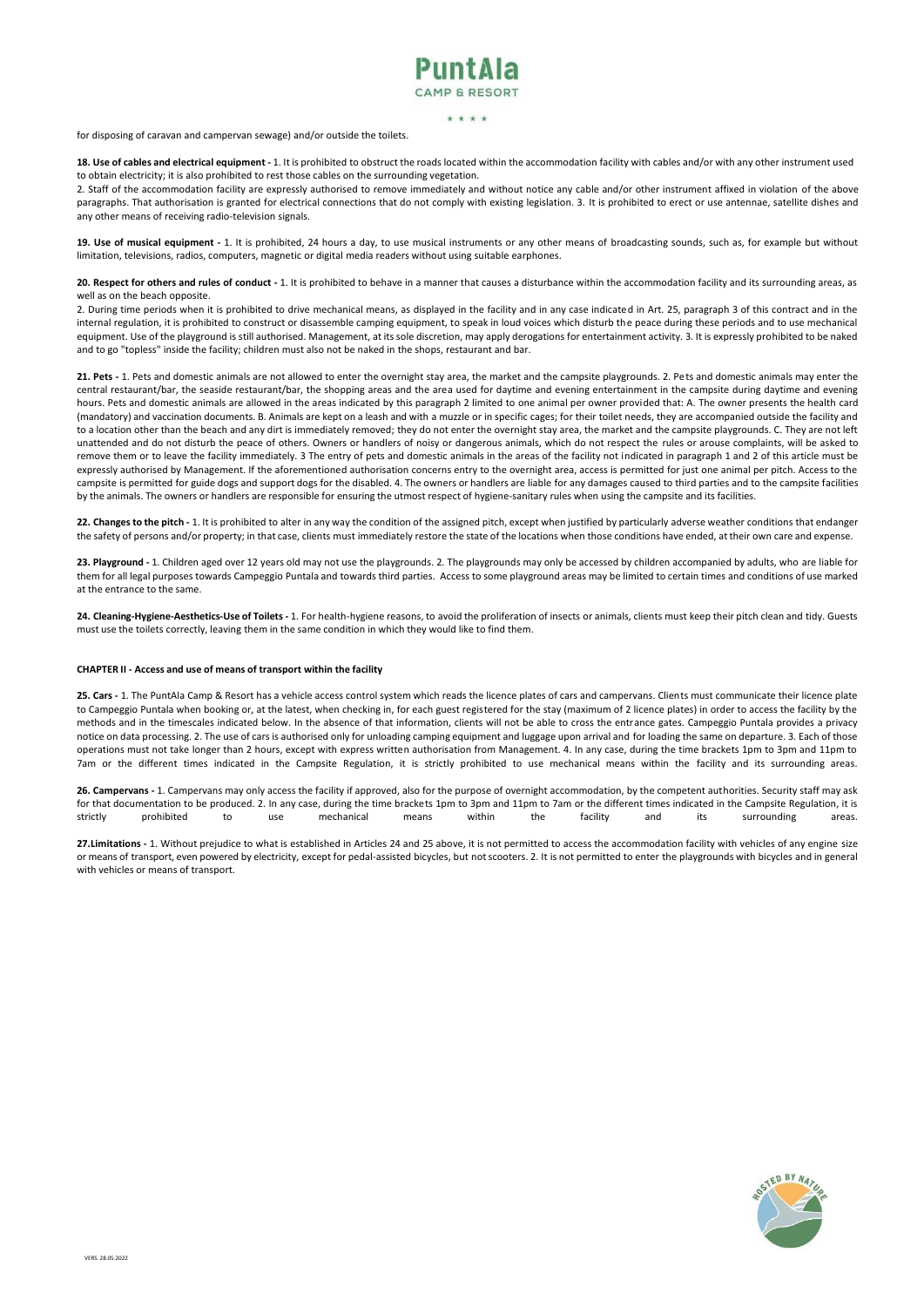## PuntAla

### \* \* \* \*

for disposing of caravan and campervan sewage) and/or outside the toilets.

18. Use of cables and electrical equipment - 1. It is prohibited to obstruct the roads located within the accommodation facility with cables and/or with any other instrument used to obtain electricity; it is also prohibited to rest those cables on the surrounding vegetation.

2. Staff of the accommodation facility are expressly authorised to remove immediately and without notice any cable and/or other instrument affixed in violation of the above paragraphs. That authorisation is granted for electrical connections that do not comply with existing legislation. 3. It is prohibited to erect or use antennae, satellite dishes and any other means of receiving radio-television signals.

**19. Use of musical equipment -** 1. It is prohibited, 24 hours a day, to use musical instruments or any other means of broadcasting sounds, such as, for example but without limitation, televisions, radios, computers, magnetic or digital media readers without using suitable earphones.

**20. Respect for others and rules of conduct -** 1. It is prohibited to behave in a manner that causes a disturbance within the accommodation facility and its surrounding areas, as well as on the beach opposite.

2. During time periods when it is prohibited to drive mechanical means, as displayed in the facility and in any case indicated in Art. 25, paragraph 3 of this contract and in the internal regulation, it is prohibited to construct or disassemble camping equipment, to speak in loud voices which disturb the peace during these periods and to use mechanical equipment. Use of the playground is still authorised. Management, at its sole discretion, may apply derogations for entertainment activity. 3. It is expressly prohibited to be naked and to go "topless" inside the facility; children must also not be naked in the shops, restaurant and bar.

**21. Pets -** 1. Pets and domestic animals are not allowed to enter the overnight stay area, the market and the campsite playgrounds. 2. Pets and domestic animals may enter the central restaurant/bar, the seaside restaurant/bar, the shopping areas and the area used for daytime and evening entertainment in the campsite during daytime and evening hours. Pets and domestic animals are allowed in the areas indicated by this paragraph 2 limited to one animal per owner provided that: A. The owner presents the health card (mandatory) and vaccination documents. B. Animals are kept on a leash and with a muzzle or in specific cages; for their toilet needs, they are accompanied outside the facility and to a location other than the beach and any dirt is immediately removed; they do not enter the overnight stay area, the market and the campsite playgrounds. C. They are not left unattended and do not disturb the peace of others. Owners or handlers of noisy or dangerous animals, which do not respect the rules or arouse complaints, will be asked to remove them or to leave the facility immediately. 3 The entry of pets and domestic animals in the areas of the facility not indicated in paragraph 1 and 2 of this article must be expressly authorised by Management. If the aforementioned authorisation concerns entry to the overnight area, access is permitted for just one animal per pitch. Access to the campsite is permitted for guide dogs and support dogs for the disabled. 4. The owners or handlers are liable for any damages caused to third parties and to the campsite facilities by the animals. The owners or handlers are responsible for ensuring the utmost respect of hygiene-sanitary rules when using the campsite and its facilities.

**22. Changes to the pitch -** 1. It is prohibited to alter in any way the condition of the assigned pitch, except when justified by particularly adverse weather conditions that endanger the safety of persons and/or property; in that case, clients must immediately restore the state of the locations when those conditions have ended, attheir own care and expense.

23. Playground - 1. Children aged over 12 years old may not use the playgrounds. 2. The playgrounds may only be accessed by children accompanied by adults, who are liable for them for all legal purposes towards Campeggio Puntala and towards third parties. Access to some playground areas may be limited to certain times and conditions of use marked at the entrance to the same.

**24. Cleaning-Hygiene-Aesthetics-Use of Toilets -** 1. For health-hygiene reasons, to avoid the proliferation of insects or animals, clients must keep their pitch clean and tidy. Guests must use the toilets correctly, leaving them in the same condition in which they would like to find them.

### **CHAPTER II - Access and use of means of transport within the facility**

**25. Cars -** 1. The PuntAla Camp & Resort has a vehicle access control system which reads the licence plates of cars and campervans. Clients must communicate their licence plate to Campeggio Puntala when booking or, at the latest, when checking in, for each guest registered for the stay (maximum of 2 licence plates) in order to access the facility by the methods and in the timescales indicated below. In the absence of that information, clients will not be able to cross the entrance gates. Campeggio Puntala provides a privacy notice on data processing. 2. The use of cars is authorised only for unloading camping equipment and luggage upon arrival and for loading the same on departure. 3. Each of those operations must not take longer than 2 hours, except with express written authorisation from Management. 4. In any case, during the time brackets 1pm to 3pm and 11pm to 7am or the different times indicated in the Campsite Regulation, it is strictly prohibited to use mechanical means within the facility and its surrounding areas.

**26. Campervans -** 1. Campervans may only access the facility if approved, also for the purpose of overnight accommodation, by the competent authorities. Security staff may ask for that documentation to be produced. 2. In any case, during the time brackets 1pm to 3pm and 11pm to 7am or the different times indicated in the Campsite Regulation, it is strictly prohibited to use mechanical means with strictly prohibited to use mechanical means within the facility and its surrounding areas.

**27.Limitations -** 1. Without prejudice to what is established in Articles 24 and 25 above, it is not permitted to access the accommodation facility with vehicles of any engine size or means of transport, even powered by electricity, except for pedal-assisted bicycles, but notscooters. 2. It is not permitted to enter the playgrounds with bicycles and in general with vehicles or means of transport.

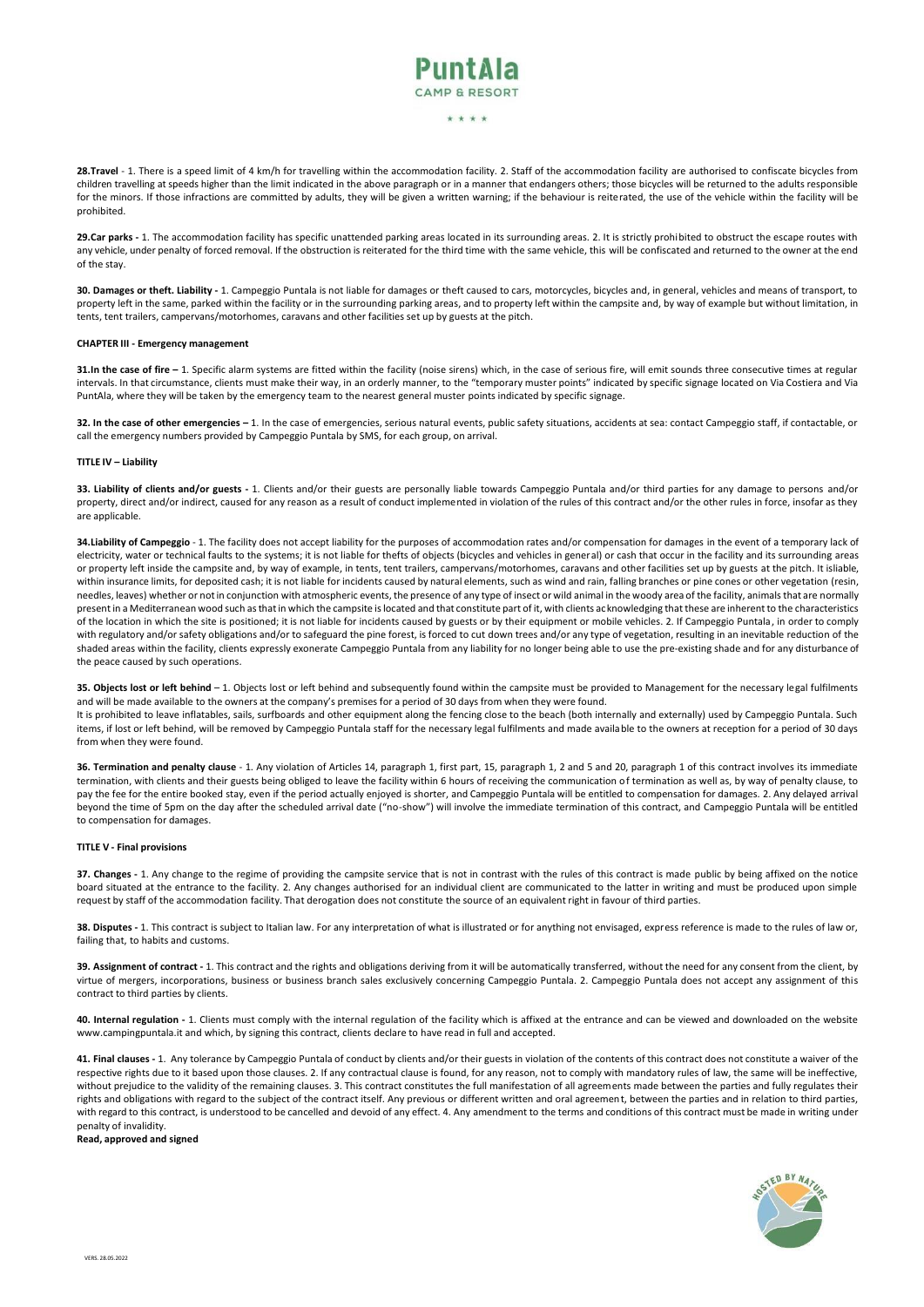# PuntAla

### \* \* \* \*

28.Travel - 1. There is a speed limit of 4 km/h for travelling within the accommodation facility. 2. Staff of the accommodation facility are authorised to confiscate bicycles from children travelling at speeds higher than the limit indicated in the above paragraph or in a manner that endangers others; those bicycles will be returned to the adults responsible for the minors. If those infractions are committed by adults, they will be given a written warning; if the behaviour is reiterated, the use of the vehicle within the facility will be prohibited.

29.Car parks - 1. The accommodation facility has specific unattended parking areas located in its surrounding areas. 2. It is strictly prohibited to obstruct the escape routes with any vehicle, under penalty of forced removal. If the obstruction is reiterated for the third time with the same vehicle, this will be confiscated and returned to the owner at the end of the stay.

**30. Damages or theft. Liability -** 1. Campeggio Puntala is not liable for damages or theft caused to cars, motorcycles, bicycles and, in general, vehicles and means of transport, to property left in the same, parked within the facility or in the surrounding parking areas, and to property left within the campsite and, by way of example but without limitation, in tents, tent trailers, campervans/motorhomes, caravans and other facilities set up by guests at the pitch.

#### **CHAPTER III - Emergency management**

**31.In the case of fire -** 1. Specific alarm systems are fitted within the facility (noise sirens) which, in the case of serious fire, will emit sounds three consecutive times at regular intervals. In that circumstance, clients must make their way, in an orderly manner, to the "temporary muster points" indicated by specific signage located on Via Costiera and Via PuntAla, where they will be taken by the emergency team to the nearest general muster points indicated by specific signage.

**32. In the case of other emergencies –** 1. In the case of emergencies, serious natural events, public safety situations, accidents at sea: contact Campeggio staff, if contactable, or call the emergency numbers provided by Campeggio Puntala by SMS, for each group, on arrival.

### **TITLE IV – Liability**

33. Liability of clients and/or guests - 1. Clients and/or their guests are personally liable towards Campeggio Puntala and/or third parties for any damage to persons and/or property, direct and/or indirect, caused for any reason as a result of conduct implemented in violation of the rules of this contract and/or the other rules in force, insofar as they are applicable.

**34.Liability of Campeggio** - 1. The facility does not accept liability for the purposes of accommodation rates and/or compensation for damages in the event of a temporary lack of electricity, water or technical faults to the systems; it is not liable for thefts of objects (bicycles and vehicles in general) or cash that occur in the facility and its surrounding areas or property left inside the campsite and, by way of example, in tents, tent trailers, campervans/motorhomes, caravans and other facilities set up by guests at the pitch. It isliable, within insurance limits, for deposited cash; it is not liable for incidents caused by natural elements, such as wind and rain, falling branches or pine cones or other vegetation (resin, needles, leaves) whether or notin conjunction with atmospheric events, the presence of any type of insect or wild animal in the woody area of the facility, animals that are normally present in a Mediterranean wood such as that in which the campsite is located and that constitute part of it, with clients acknowledging that these are inherent to the characteristics of the location in which the site is positioned; it is not liable for incidents caused by guests or by their equipment or mobile vehicles. 2. If Campeggio Puntala, in order to comply with regulatory and/or safety obligations and/or to safeguard the pine forest, is forced to cut down trees and/or any type of vegetation, resulting in an inevitable reduction of the shaded areas within the facility, clients expressly exonerate Campeggio Puntala from any liability for no longer being able to use the pre-existing shade and for any disturbance of the peace caused by such operations.

**35. Objects lost or left behind** – 1. Objects lost or left behind and subsequently found within the campsite must be provided to Management for the necessary legal fulfilments and will be made available to the owners at the company's premises for a period of 30 days from when they were found.

It is prohibited to leave inflatables, sails, surfboards and other equipment along the fencing close to the beach (both internally and externally) used by Campeggio Puntala. Such items, if lost or left behind, will be removed by Campeggio Puntala staff for the necessary legal fulfilments and made available to the owners at reception for a period of 30 days from when they were found.

**36. Termination and penalty clause** - 1. Any violation of Articles 14, paragraph 1, first part, 15, paragraph 1, 2 and 5 and 20, paragraph 1 of this contract involves its immediate termination, with clients and their guests being obliged to leave the facility within 6 hours of receiving the communication of termination as well as, by way of penalty clause, to pay the fee for the entire booked stay, even if the period actually enjoyed is shorter, and Campeggio Puntala will be entitled to compensation for damages. 2. Any delayed arrival beyond the time of 5pm on the day after the scheduled arrival date ("no-show") will involve the immediate termination of this contract, and Campeggio Puntala will be entitled to compensation for damages.

### **TITLE V - Final provisions**

**37. Changes -** 1. Any change to the regime of providing the campsite service that is not in contrast with the rules of this contract is made public by being affixed on the notice board situated at the entrance to the facility. 2. Any changes authorised for an individual client are communicated to the latter in writing and must be produced upon simple request by staff of the accommodation facility. That derogation does not constitute the source of an equivalent right in favour of third parties.

**38. Disputes -** 1. This contract is subject to Italian law. For any interpretation of what is illustrated or for anything not envisaged, express reference is made to the rules of law or, failing that, to habits and customs.

**39. Assignment of contract -** 1. This contract and the rights and obligations deriving from it will be automatically transferred, without the need for any consent from the client, by virtue of mergers, incorporations, business or business branch sales exclusively concerning Campeggio Puntala. 2. Campeggio Puntala does not accept any assignment of this contract to third parties by clients.

**40. Internal regulation -** 1. Clients must comply with the internal regulation of the facility which is affixed at the entrance and can be viewed and downloaded on the website [www.campingpuntala.it a](http://www.campingpuntala.it/)nd which, by signing this contract, clients declare to have read in full and accepted.

**41. Final clauses -** 1. Any tolerance by Campeggio Puntala of conduct by clients and/or their guests in violation of the contents of this contract does not constitute a waiver of the respective rights due to it based upon those clauses. 2. If any contractual clause is found, for any reason, not to comply with mandatory rules of law, the same will be ineffective, without prejudice to the validity of the remaining clauses. 3. This contract constitutes the full manifestation of all agreements made between the parties and fully regulates their rights and obligations with regard to the subject of the contract itself. Any previous or different written and oral agreement, between the parties and in relation to third parties, with regard to this contract, is understood to be cancelled and devoid of any effect. 4. Any amendment to the terms and conditions of this contract must be made in writing under penalty of invalidity.

**Read, approved and signed**